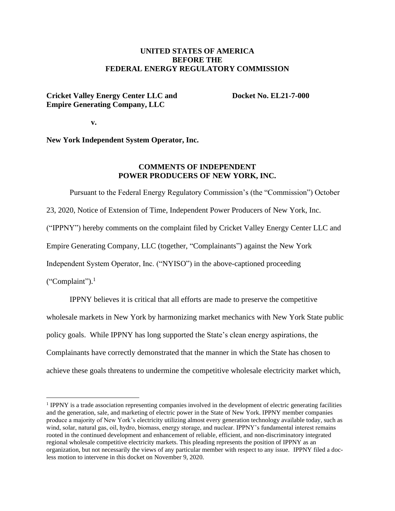## **UNITED STATES OF AMERICA BEFORE THE FEDERAL ENERGY REGULATORY COMMISSION**

## **Cricket Valley Energy Center LLC and Docket No. EL21-7-000 Empire Generating Company, LLC**

 **v.**

**New York Independent System Operator, Inc.**

## **COMMENTS OF INDEPENDENT POWER PRODUCERS OF NEW YORK, INC.**

Pursuant to the Federal Energy Regulatory Commission's (the "Commission") October 23, 2020, Notice of Extension of Time, Independent Power Producers of New York, Inc. ("IPPNY") hereby comments on the complaint filed by Cricket Valley Energy Center LLC and Empire Generating Company, LLC (together, "Complainants") against the New York Independent System Operator, Inc. ("NYISO") in the above-captioned proceeding

 $("Complain").<sup>1</sup>$ 

IPPNY believes it is critical that all efforts are made to preserve the competitive wholesale markets in New York by harmonizing market mechanics with New York State public policy goals. While IPPNY has long supported the State's clean energy aspirations, the Complainants have correctly demonstrated that the manner in which the State has chosen to achieve these goals threatens to undermine the competitive wholesale electricity market which,

<sup>&</sup>lt;sup>1</sup> IPPNY is a trade association representing companies involved in the development of electric generating facilities and the generation, sale, and marketing of electric power in the State of New York. IPPNY member companies produce a majority of New York's electricity utilizing almost every generation technology available today, such as wind, solar, natural gas, oil, hydro, biomass, energy storage, and nuclear. IPPNY's fundamental interest remains rooted in the continued development and enhancement of reliable, efficient, and non-discriminatory integrated regional wholesale competitive electricity markets. This pleading represents the position of IPPNY as an organization, but not necessarily the views of any particular member with respect to any issue. IPPNY filed a docless motion to intervene in this docket on November 9, 2020.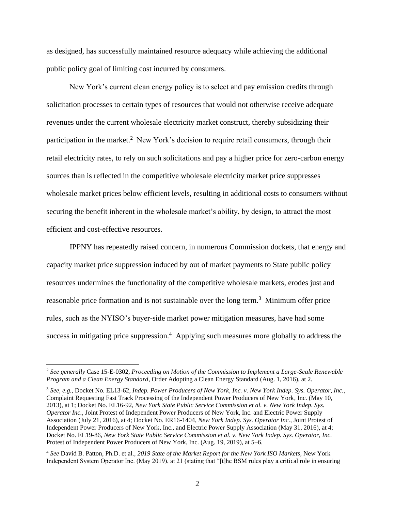as designed, has successfully maintained resource adequacy while achieving the additional public policy goal of limiting cost incurred by consumers.

New York's current clean energy policy is to select and pay emission credits through solicitation processes to certain types of resources that would not otherwise receive adequate revenues under the current wholesale electricity market construct, thereby subsidizing their participation in the market.<sup>2</sup> New York's decision to require retail consumers, through their retail electricity rates, to rely on such solicitations and pay a higher price for zero-carbon energy sources than is reflected in the competitive wholesale electricity market price suppresses wholesale market prices below efficient levels, resulting in additional costs to consumers without securing the benefit inherent in the wholesale market's ability, by design, to attract the most efficient and cost-effective resources.

IPPNY has repeatedly raised concern, in numerous Commission dockets, that energy and capacity market price suppression induced by out of market payments to State public policy resources undermines the functionality of the competitive wholesale markets, erodes just and reasonable price formation and is not sustainable over the long term.<sup>3</sup> Minimum offer price rules, such as the NYISO's buyer-side market power mitigation measures, have had some success in mitigating price suppression.<sup>4</sup> Applying such measures more globally to address the

<sup>2</sup> *See generally* Case 15-E-0302, *Proceeding on Motion of the Commission to Implement a Large-Scale Renewable Program and a Clean Energy Standard*, Order Adopting a Clean Energy Standard (Aug. 1, 2016), at 2.

<sup>3</sup> *See, e.g.*, Docket No. EL13-62, *Indep. Power Producers of New York, Inc. v. New York Indep. Sys. Operator, Inc.*, Complaint Requesting Fast Track Processing of the Independent Power Producers of New York, Inc. (May 10, 2013), at 1; Docket No. EL16-92, *New York State Public Service Commission et al. v. New York Indep. Sys. Operator Inc.*, Joint Protest of Independent Power Producers of New York, Inc. and Electric Power Supply Association (July 21, 2016), at 4; Docket No. ER16-1404, *New York Indep. Sys. Operator Inc.*, Joint Protest of Independent Power Producers of New York, Inc., and Electric Power Supply Association (May 31, 2016), at 4; Docket No. EL19-86, *New York State Public Service Commission et al. v. New York Indep. Sys. Operator, Inc.*  Protest of Independent Power Producers of New York, Inc. (Aug. 19, 2019), at 5–6.

<sup>4</sup> *See* David B. Patton, Ph.D. et al., *2019 State of the Market Report for the New York ISO Markets*, New York Independent System Operator Inc. (May 2019), at 21 (stating that "[t]he BSM rules play a critical role in ensuring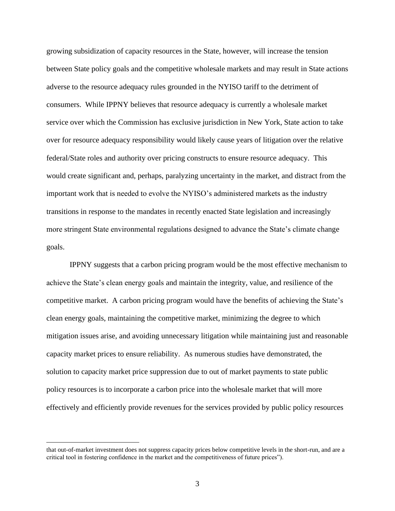growing subsidization of capacity resources in the State, however, will increase the tension between State policy goals and the competitive wholesale markets and may result in State actions adverse to the resource adequacy rules grounded in the NYISO tariff to the detriment of consumers. While IPPNY believes that resource adequacy is currently a wholesale market service over which the Commission has exclusive jurisdiction in New York, State action to take over for resource adequacy responsibility would likely cause years of litigation over the relative federal/State roles and authority over pricing constructs to ensure resource adequacy. This would create significant and, perhaps, paralyzing uncertainty in the market, and distract from the important work that is needed to evolve the NYISO's administered markets as the industry transitions in response to the mandates in recently enacted State legislation and increasingly more stringent State environmental regulations designed to advance the State's climate change goals.

IPPNY suggests that a carbon pricing program would be the most effective mechanism to achieve the State's clean energy goals and maintain the integrity, value, and resilience of the competitive market. A carbon pricing program would have the benefits of achieving the State's clean energy goals, maintaining the competitive market, minimizing the degree to which mitigation issues arise, and avoiding unnecessary litigation while maintaining just and reasonable capacity market prices to ensure reliability. As numerous studies have demonstrated, the solution to capacity market price suppression due to out of market payments to state public policy resources is to incorporate a carbon price into the wholesale market that will more effectively and efficiently provide revenues for the services provided by public policy resources

that out-of-market investment does not suppress capacity prices below competitive levels in the short-run, and are a critical tool in fostering confidence in the market and the competitiveness of future prices").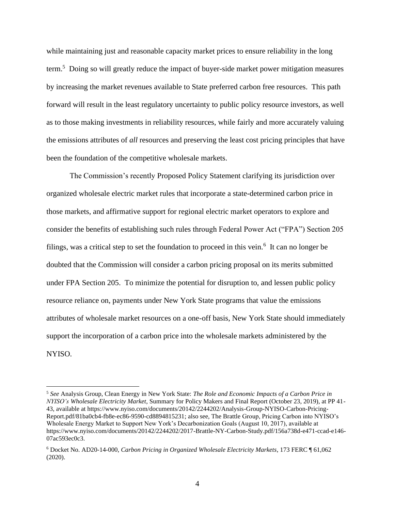while maintaining just and reasonable capacity market prices to ensure reliability in the long term.<sup>5</sup> Doing so will greatly reduce the impact of buyer-side market power mitigation measures by increasing the market revenues available to State preferred carbon free resources. This path forward will result in the least regulatory uncertainty to public policy resource investors, as well as to those making investments in reliability resources, while fairly and more accurately valuing the emissions attributes of *all* resources and preserving the least cost pricing principles that have been the foundation of the competitive wholesale markets.

The Commission's recently Proposed Policy Statement clarifying its jurisdiction over organized wholesale electric market rules that incorporate a state-determined carbon price in those markets, and affirmative support for regional electric market operators to explore and consider the benefits of establishing such rules through Federal Power Act ("FPA") Section 205 filings, was a critical step to set the foundation to proceed in this vein.<sup>6</sup> It can no longer be doubted that the Commission will consider a carbon pricing proposal on its merits submitted under FPA Section 205. To minimize the potential for disruption to, and lessen public policy resource reliance on, payments under New York State programs that value the emissions attributes of wholesale market resources on a one-off basis, New York State should immediately support the incorporation of a carbon price into the wholesale markets administered by the NYISO.

<sup>5</sup> *See* Analysis Group, Clean Energy in New York State: *The Role and Economic Impacts of a Carbon Price in NYISO's Wholesale Electricity Market*, Summary for Policy Makers and Final Report (October 23, 2019), at PP 41- 43, available at [https://www.nyiso.com/documents/20142/2244202/Analysis-Group-NYISO-Carbon-Pricing-](https://www.nyiso.com/documents/20142/2244202/Analysis-Group-NYISO-Carbon-Pricing-Report.pdf/81ba0cb4-fb8e-ec86-9590-cd8894815231)[Report.pdf/81ba0cb4-fb8e-ec86-9590-cd8894815231;](https://www.nyiso.com/documents/20142/2244202/Analysis-Group-NYISO-Carbon-Pricing-Report.pdf/81ba0cb4-fb8e-ec86-9590-cd8894815231) also see, The Brattle Group, Pricing Carbon into NYISO's Wholesale Energy Market to Support New York's Decarbonization Goals (August 10, 2017), available at [https://www.nyiso.com/documents/20142/2244202/2017-Brattle-NY-Carbon-Study.pdf/156a738d-e471-ccad-e146-](https://www.nyiso.com/documents/20142/2244202/2017-Brattle-NY-Carbon-Study.pdf/156a738d-e471-ccad-e146-07ac593ec0c3) [07ac593ec0c3.](https://www.nyiso.com/documents/20142/2244202/2017-Brattle-NY-Carbon-Study.pdf/156a738d-e471-ccad-e146-07ac593ec0c3)

<sup>6</sup> Docket No. AD20-14-000, *Carbon Pricing in Organized Wholesale Electricity Markets*, 173 FERC ¶ 61,062 (2020).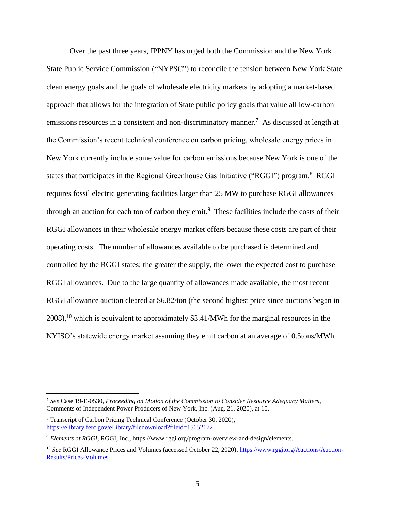Over the past three years, IPPNY has urged both the Commission and the New York State Public Service Commission ("NYPSC") to reconcile the tension between New York State clean energy goals and the goals of wholesale electricity markets by adopting a market-based approach that allows for the integration of State public policy goals that value all low-carbon emissions resources in a consistent and non-discriminatory manner.<sup>7</sup> As discussed at length at the Commission's recent technical conference on carbon pricing, wholesale energy prices in New York currently include some value for carbon emissions because New York is one of the states that participates in the Regional Greenhouse Gas Initiative ("RGGI") program.<sup>8</sup> RGGI requires fossil electric generating facilities larger than 25 MW to purchase RGGI allowances through an auction for each ton of carbon they emit.<sup>9</sup> These facilities include the costs of their RGGI allowances in their wholesale energy market offers because these costs are part of their operating costs. The number of allowances available to be purchased is determined and controlled by the RGGI states; the greater the supply, the lower the expected cost to purchase RGGI allowances. Due to the large quantity of allowances made available, the most recent RGGI allowance auction cleared at \$6.82/ton (the second highest price since auctions began in 2008),<sup>10</sup> which is equivalent to approximately \$3.41/MWh for the marginal resources in the NYISO's statewide energy market assuming they emit carbon at an average of 0.5tons/MWh.

<sup>7</sup> *See* Case 19-E-0530, *Proceeding on Motion of the Commission to Consider Resource Adequacy Matters*, Comments of Independent Power Producers of New York, Inc. (Aug. 21, 2020), at 10.

<sup>8</sup> Transcript of Carbon Pricing Technical Conference (October 30, 2020), [https://elibrary.ferc.gov/eLibrary/filedownload?fileid=15652172.](https://elibrary.ferc.gov/eLibrary/filedownload?fileid=15652172)

<sup>9</sup> *Elements of RGGI*, RGGI, Inc., https://www.rggi.org/program-overview-and-design/elements.

<sup>&</sup>lt;sup>10</sup> See RGGI Allowance Prices and Volumes (accessed October 22, 2020), [https://www.rggi.org/Auctions/Auction-](https://www.rggi.org/Auctions/Auction-Results/Prices-Volumes)[Results/Prices-Volumes.](https://www.rggi.org/Auctions/Auction-Results/Prices-Volumes)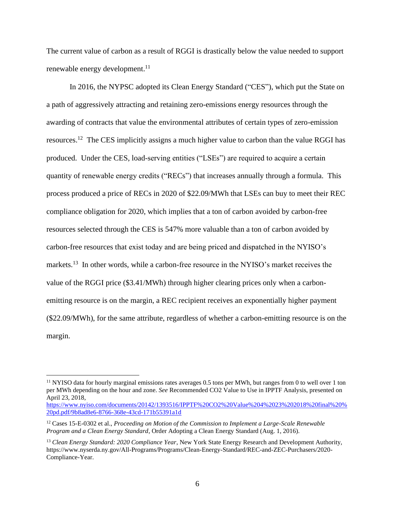The current value of carbon as a result of RGGI is drastically below the value needed to support renewable energy development.<sup>11</sup>

In 2016, the NYPSC adopted its Clean Energy Standard ("CES"), which put the State on a path of aggressively attracting and retaining zero-emissions energy resources through the awarding of contracts that value the environmental attributes of certain types of zero-emission resources.<sup>12</sup> The CES implicitly assigns a much higher value to carbon than the value RGGI has produced. Under the CES, load-serving entities ("LSEs") are required to acquire a certain quantity of renewable energy credits ("RECs") that increases annually through a formula. This process produced a price of RECs in 2020 of \$22.09/MWh that LSEs can buy to meet their REC compliance obligation for 2020, which implies that a ton of carbon avoided by carbon-free resources selected through the CES is 547% more valuable than a ton of carbon avoided by carbon-free resources that exist today and are being priced and dispatched in the NYISO's markets.<sup>13</sup> In other words, while a carbon-free resource in the NYISO's market receives the value of the RGGI price (\$3.41/MWh) through higher clearing prices only when a carbonemitting resource is on the margin, a REC recipient receives an exponentially higher payment (\$22.09/MWh), for the same attribute, regardless of whether a carbon-emitting resource is on the margin.

 $11$  NYISO data for hourly marginal emissions rates averages 0.5 tons per MWh, but ranges from 0 to well over 1 ton per MWh depending on the hour and zone. *See* Recommended CO2 Value to Use in IPPTF Analysis, presented on April 23, 2018,

[https://www.nyiso.com/documents/20142/1393516/IPPTF%20CO2%20Value%204%2023%202018%20final%20%](https://www.nyiso.com/documents/20142/1393516/IPPTF%20CO2%20Value%204%2023%202018%20final%20%20pd.pdf/9b8ad8e6-8766-368e-43cd-171b55391a1d) [20pd.pdf/9b8ad8e6-8766-368e-43cd-171b55391a1d](https://www.nyiso.com/documents/20142/1393516/IPPTF%20CO2%20Value%204%2023%202018%20final%20%20pd.pdf/9b8ad8e6-8766-368e-43cd-171b55391a1d)

<sup>12</sup> Cases 15-E-0302 et al., *Proceeding on Motion of the Commission to Implement a Large-Scale Renewable Program and a Clean Energy Standard*, Order Adopting a Clean Energy Standard (Aug. 1, 2016).

<sup>13</sup> *Clean Energy Standard: 2020 Compliance Year*, New York State Energy Research and Development Authority, https://www.nyserda.ny.gov/All-Programs/Programs/Clean-Energy-Standard/REC-and-ZEC-Purchasers/2020- Compliance-Year.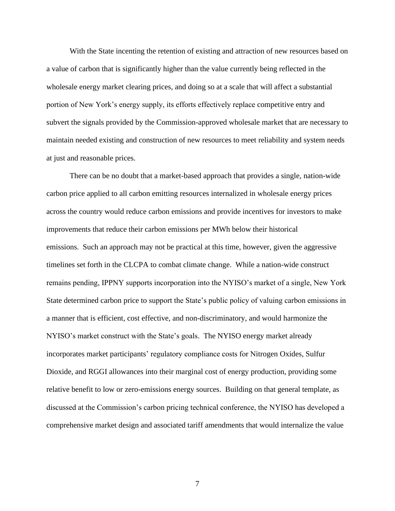With the State incenting the retention of existing and attraction of new resources based on a value of carbon that is significantly higher than the value currently being reflected in the wholesale energy market clearing prices, and doing so at a scale that will affect a substantial portion of New York's energy supply, its efforts effectively replace competitive entry and subvert the signals provided by the Commission-approved wholesale market that are necessary to maintain needed existing and construction of new resources to meet reliability and system needs at just and reasonable prices.

There can be no doubt that a market-based approach that provides a single, nation-wide carbon price applied to all carbon emitting resources internalized in wholesale energy prices across the country would reduce carbon emissions and provide incentives for investors to make improvements that reduce their carbon emissions per MWh below their historical emissions. Such an approach may not be practical at this time, however, given the aggressive timelines set forth in the CLCPA to combat climate change. While a nation-wide construct remains pending, IPPNY supports incorporation into the NYISO's market of a single, New York State determined carbon price to support the State's public policy of valuing carbon emissions in a manner that is efficient, cost effective, and non-discriminatory, and would harmonize the NYISO's market construct with the State's goals. The NYISO energy market already incorporates market participants' regulatory compliance costs for Nitrogen Oxides, Sulfur Dioxide, and RGGI allowances into their marginal cost of energy production, providing some relative benefit to low or zero-emissions energy sources. Building on that general template, as discussed at the Commission's carbon pricing technical conference, the NYISO has developed a comprehensive market design and associated tariff amendments that would internalize the value

7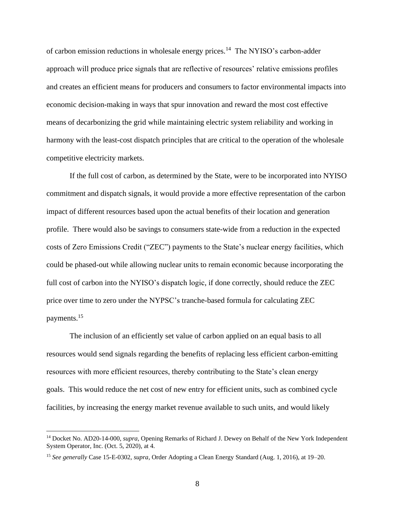of carbon emission reductions in wholesale energy prices.<sup>14</sup> The NYISO's carbon-adder approach will produce price signals that are reflective of resources' relative emissions profiles and creates an efficient means for producers and consumers to factor environmental impacts into economic decision-making in ways that spur innovation and reward the most cost effective means of decarbonizing the grid while maintaining electric system reliability and working in harmony with the least-cost dispatch principles that are critical to the operation of the wholesale competitive electricity markets.

If the full cost of carbon, as determined by the State, were to be incorporated into NYISO commitment and dispatch signals, it would provide a more effective representation of the carbon impact of different resources based upon the actual benefits of their location and generation profile. There would also be savings to consumers state-wide from a reduction in the expected costs of Zero Emissions Credit ("ZEC") payments to the State's nuclear energy facilities, which could be phased-out while allowing nuclear units to remain economic because incorporating the full cost of carbon into the NYISO's dispatch logic, if done correctly, should reduce the ZEC price over time to zero under the NYPSC's tranche-based formula for calculating ZEC payments.<sup>15</sup>

The inclusion of an efficiently set value of carbon applied on an equal basis to all resources would send signals regarding the benefits of replacing less efficient carbon-emitting resources with more efficient resources, thereby contributing to the State's clean energy goals. This would reduce the net cost of new entry for efficient units, such as combined cycle facilities, by increasing the energy market revenue available to such units, and would likely

<sup>14</sup> Docket No. AD20-14-000, *supra*, Opening Remarks of Richard J. Dewey on Behalf of the New York Independent System Operator, Inc. (Oct. 5, 2020), at 4.

<sup>15</sup> *See generally* Case 15-E-0302, *supra*, Order Adopting a Clean Energy Standard (Aug. 1, 2016), at 19–20.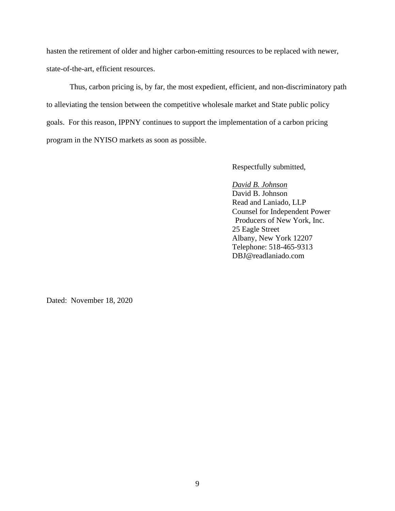hasten the retirement of older and higher carbon-emitting resources to be replaced with newer, state-of-the-art, efficient resources.

Thus, carbon pricing is, by far, the most expedient, efficient, and non-discriminatory path to alleviating the tension between the competitive wholesale market and State public policy goals. For this reason, IPPNY continues to support the implementation of a carbon pricing program in the NYISO markets as soon as possible.

Respectfully submitted,

*David B. Johnson* David B. Johnson Read and Laniado, LLP Counsel for Independent Power Producers of New York, Inc. 25 Eagle Street Albany, New York 12207 Telephone: 518-465-9313 DBJ@readlaniado.com

Dated: November 18, 2020